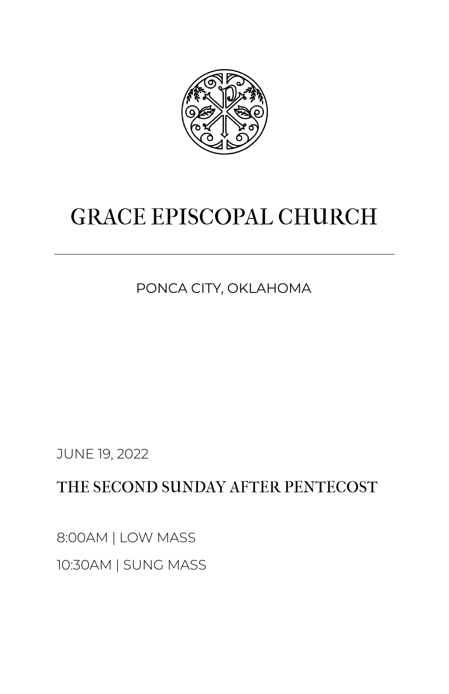

# GRACE EPISCOPAL CHURCH

PONCA CITY, OKLAHOMA

JUNE 19, 2022

THE SECOND SUNDAY AFTER PENTECOST

8:00AM | LOW MASS 10:30AM | SUNG MASS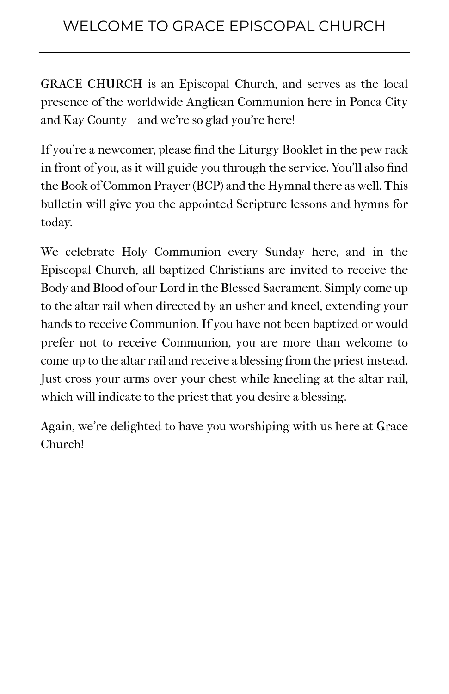GRACE CHURCH is an Episcopal Church, and serves as the local presence of the worldwide Anglican Communion here in Ponca City and Kay County – and we're so glad you're here!

If you're a newcomer, please find the Liturgy Booklet in the pew rack in front of you, as it will guide you through the service. You'll also find the Book of Common Prayer (BCP) and the Hymnal there as well. This bulletin will give you the appointed Scripture lessons and hymns for today.

We celebrate Holy Communion every Sunday here, and in the Episcopal Church, all baptized Christians are invited to receive the Body and Blood of our Lord in the Blessed Sacrament. Simply come up to the altar rail when directed by an usher and kneel, extending your hands to receive Communion. If you have not been baptized or would prefer not to receive Communion, you are more than welcome to come up to the altar rail and receive a blessing from the priest instead. Just cross your arms over your chest while kneeling at the altar rail, which will indicate to the priest that you desire a blessing.

Again, we're delighted to have you worshiping with us here at Grace Church!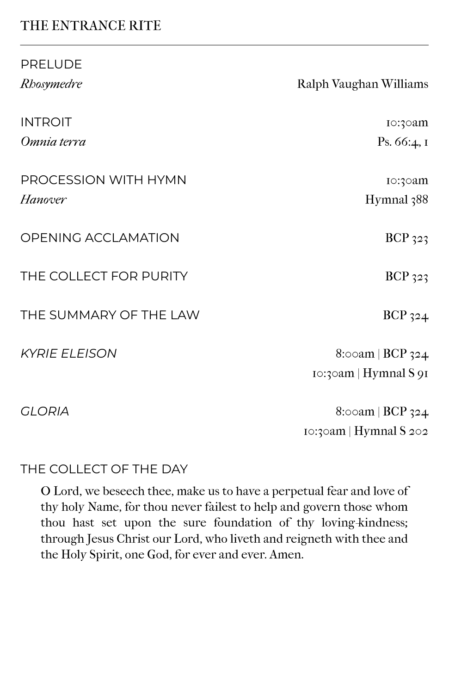# THE ENTRANCE RITE

PRELUDE

| PRELUDE                |                           |
|------------------------|---------------------------|
| Rhosymedre             | Ralph Vaughan Williams    |
| <b>INTROIT</b>         | I0:30am                   |
| Omnia terra            | Ps. $66:4, 1$             |
| PROCESSION WITH HYMN   | Io:30am                   |
| Hanover                | Hymnal 388                |
| OPENING ACCLAMATION    | $BCP_{323}$               |
| THE COLLECT FOR PURITY | <b>BCP</b> 323            |
| THE SUMMARY OF THE LAW | $BCP_{324}$               |
| <b>KYRIE ELEISON</b>   | $8$ :00am   BCP 324       |
|                        | $10:3$ cam   Hymnal S 91  |
| <b>GLORIA</b>          | $8$ :00am   BCP 324       |
|                        | $10:3$ oam   Hymnal S 202 |

#### THE COLLECT OF THE DAY

O Lord, we beseech thee, make us to have a perpetual fear and love of thy holy Name, for thou never failest to help and govern those whom thou hast set upon the sure foundation of thy loving-kindness; through Jesus Christ our Lord, who liveth and reigneth with thee and the Holy Spirit, one God, for ever and ever. Amen.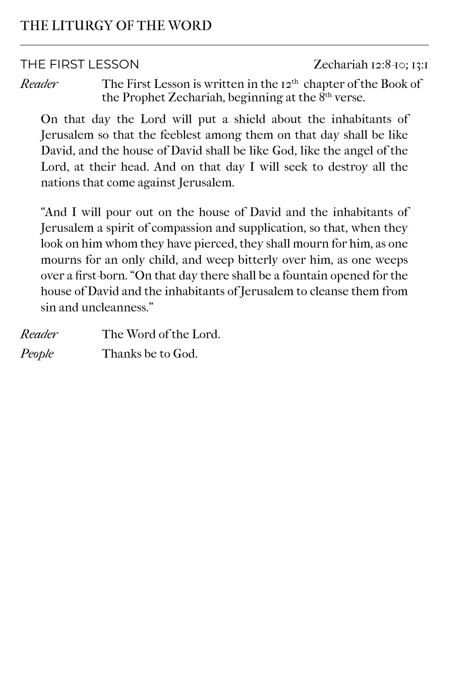THE FIRST LESSON Zechariah 12:8-10; 13:1

*Reader* The First Lesson is written in the 12<sup>th</sup> chapter of the Book of the Prophet Zechariah, beginning at the  $8<sup>th</sup>$  verse.

On that day the Lord will put a shield about the inhabitants of Jerusalem so that the feeblest among them on that day shall be like David, and the house of David shall be like God, like the angel of the Lord, at their head. And on that day I will seek to destroy all the nations that come against Jerusalem.

"And I will pour out on the house of David and the inhabitants of Jerusalem a spirit of compassion and supplication, so that, when they look on him whom they have pierced, they shall mourn for him, as one mourns for an only child, and weep bitterly over him, as one weeps over a first-born. "On that day there shall be a fountain opened for the house of David and the inhabitants of Jerusalem to cleanse them from sin and uncleanness."

| Reader | The Word of the Lord. |
|--------|-----------------------|
| People | Thanks be to God.     |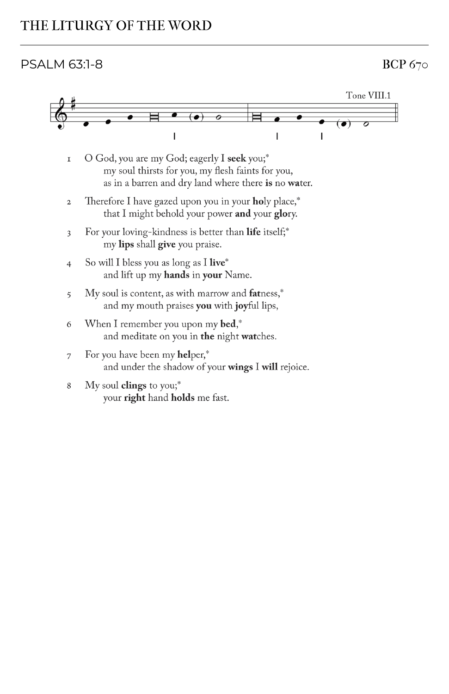#### $PSALM$  63:1-8 BCP 670

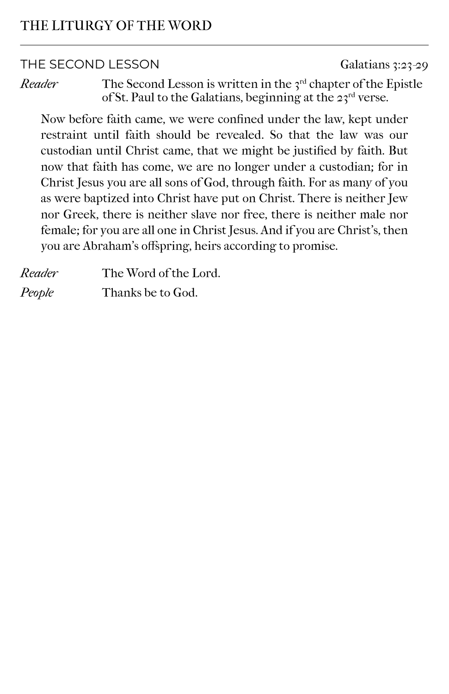#### THE SECOND LESSON Galatians 3:23-29

*Reader* The Second Lesson is written in the 3<sup>rd</sup> chapter of the Epistle of St. Paul to the Galatians, beginning at the  $23^{\text{rd}}$  verse.

Now before faith came, we were confined under the law, kept under restraint until faith should be revealed. So that the law was our custodian until Christ came, that we might be justified by faith. But now that faith has come, we are no longer under a custodian; for in Christ Jesus you are all sons of God, through faith. For as many of you as were baptized into Christ have put on Christ. There is neither Jew nor Greek, there is neither slave nor free, there is neither male nor female; for you are all one in Christ Jesus. And if you are Christ's, then you are Abraham's offspring, heirs according to promise.

| Reader | The Word of the Lord. |
|--------|-----------------------|
| People | Thanks be to God.     |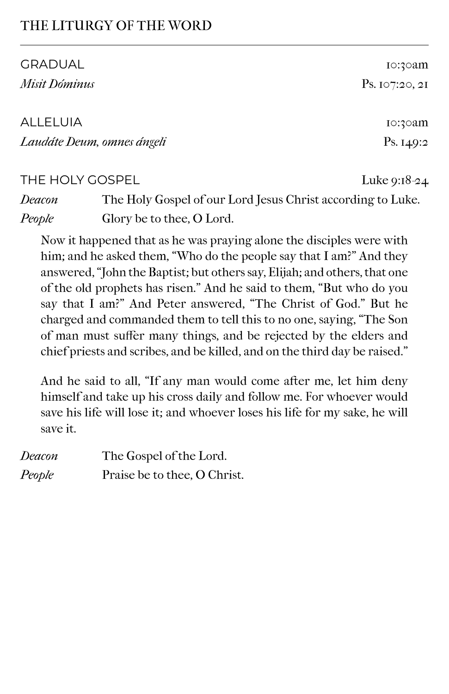| <b>GRADUAL</b>                | 10:30am                                                                 |
|-------------------------------|-------------------------------------------------------------------------|
| Misit Dóminus                 | P <sub>S. IO7:20, 2I</sub>                                              |
|                               |                                                                         |
| ALLELUIA                      | 10:30am                                                                 |
| Laudáte Deum, omnes ángeli    | Ps. $149:2$                                                             |
| THE HOLY GOSPEL               | Luke $9:18-24$                                                          |
| $\mathbf{D}$ and $\mathbf{D}$ | $TT1 \quad \alpha = 1 \quad \beta = T - 1$ $T = \alpha + 1$ $T = T - T$ |

*Deacon* The Holy Gospel of our Lord Jesus Christ according to Luke. *People* Glory be to thee, O Lord.

Now it happened that as he was praying alone the disciples were with him; and he asked them, "Who do the people say that I am?" And they answered, "John the Baptist; but others say, Elijah; and others, that one of the old prophets has risen." And he said to them, "But who do you say that I am?" And Peter answered, "The Christ of God." But he charged and commanded them to tell this to no one, saying, "The Son of man must suffer many things, and be rejected by the elders and chief priests and scribes, and be killed, and on the third day be raised."

And he said to all, "If any man would come after me, let him deny himself and take up his cross daily and follow me. For whoever would save his life will lose it; and whoever loses his life for my sake, he will save it.

| Deacon | The Gospel of the Lord.      |
|--------|------------------------------|
| People | Praise be to thee, O Christ. |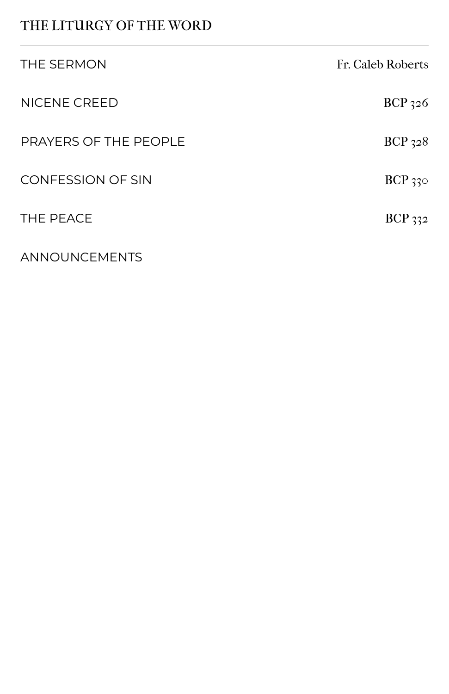| THE SERMON               | Fr. Caleb Roberts |
|--------------------------|-------------------|
| NICENE CREED             | $BCP_{32}6$       |
| PRAYERS OF THE PEOPLE    | $BCP_{32}8$       |
| <b>CONFESSION OF SIN</b> | $BCP_{33}$        |
| THE PEACE                | $BCP_{332}$       |
| ANNOUNCEMENTS            |                   |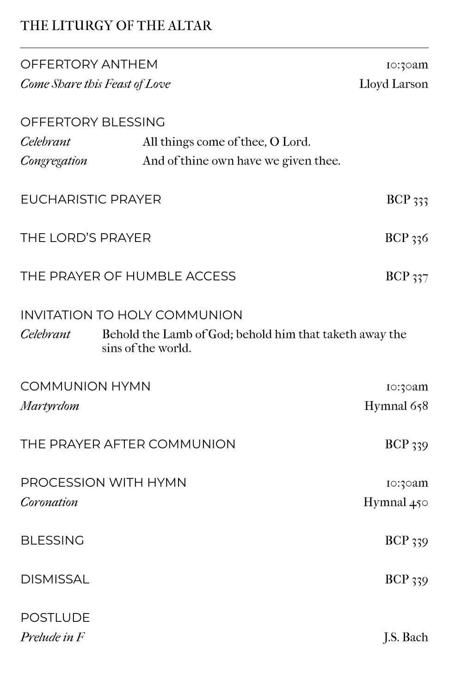# THE LITURGY OF THE ALTAR

| OFFERTORY ANTHEM                    |                                                                               | Io:30am        |
|-------------------------------------|-------------------------------------------------------------------------------|----------------|
| Come Share this Feast of Love       |                                                                               | Lloyd Larson   |
| OFFERTORY BLESSING<br>Celebrant     |                                                                               |                |
|                                     | All things come of thee, O Lord.                                              |                |
| Congregation                        | And of thine own have we given thee.                                          |                |
| <b>EUCHARISTIC PRAYER</b>           |                                                                               | $BCP$ 333      |
| THE LORD'S PRAYER                   |                                                                               | BCP 336        |
| THE PRAYER OF HUMBLE ACCESS         |                                                                               | $BCP_{337}$    |
| <b>INVITATION TO HOLY COMMUNION</b> |                                                                               |                |
| Celebrant                           | Behold the Lamb of God; behold him that taketh away the<br>sins of the world. |                |
| <b>COMMUNION HYMN</b>               |                                                                               | Io:30am        |
| Martyrdom                           |                                                                               | Hymnal 658     |
| THE PRAYER AFTER COMMUNION          |                                                                               | <b>BCP</b> 339 |
| PROCESSION WITH HYMN                |                                                                               | Io:30am        |
| Coronation                          |                                                                               | Hymnal $450$   |
| <b>BLESSING</b>                     |                                                                               | <b>BCP</b> 339 |
| <b>DISMISSAL</b>                    |                                                                               | <b>BCP</b> 339 |
| <b>POSTLUDE</b>                     |                                                                               |                |
| Prelude in F                        |                                                                               | J.S. Bach      |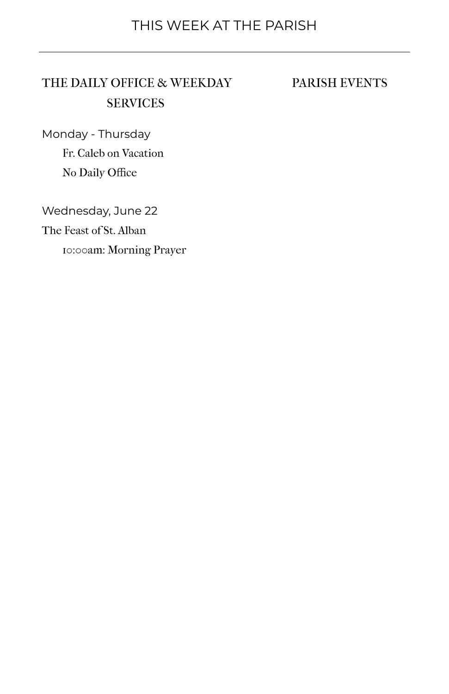# THE DAILY OFFICE & WEEKDAY **SERVICES**

#### PARISH EVENTS

Monday - Thursday Fr. Caleb on Vacation No Daily Office

Wednesday, June 22 The Feast of St. Alban 10:00am: Morning Prayer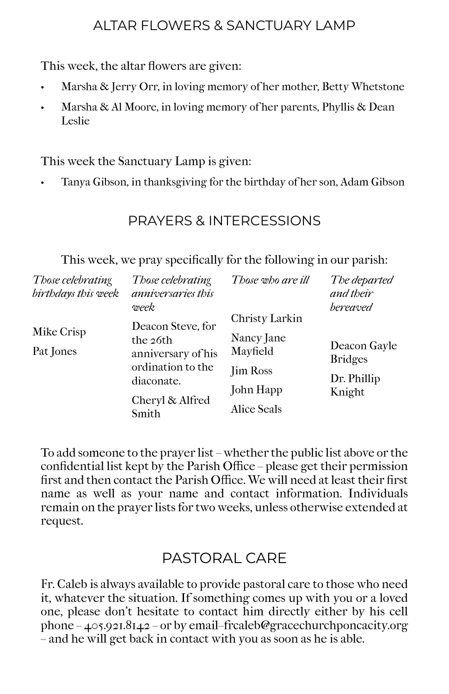# ALTAR FLOWERS & SANCTUARY LAMP

This week, the altar flowers are given:

- Marsha & Jerry Orr, in loving memory of her mother, Betty Whetstone
- Marsha & Al Moore, in loving memory of her parents, Phyllis & Dean Leslie

This week the Sanctuary Lamp is given:

• Tanya Gibson, in thanksgiving for the birthday of her son, Adam Gibson

# PRAYERS & INTERCESSIONS

This week, we pray specifically for the following in our parish:

| Those celebrating<br>birthdays this week | Those celebrating<br>anniversaries this<br>week | Those who are ill | The departed<br>and their<br>bereaved |
|------------------------------------------|-------------------------------------------------|-------------------|---------------------------------------|
|                                          | Deacon Steve, for                               | Christy Larkin    |                                       |
| Mike Crisp                               | the 26th                                        | Nancy Jane        |                                       |
| Pat Jones                                | anniversary of his                              | Mayfield          | Deacon Gayle<br><b>Bridges</b>        |
|                                          | ordination to the                               | <b>Jim Ross</b>   |                                       |
|                                          | diaconate.                                      |                   | Dr. Phillip<br>Knight                 |
|                                          | Cheryl & Alfred<br>Smith                        | John Happ         |                                       |
|                                          |                                                 | Alice Seals       |                                       |

To add someone to the prayer list – whether the public list above or the confidential list kept by the Parish Office – please get their permission first and then contact the Parish Office. We will need at least their first name as well as your name and contact information. Individuals remain on the prayer lists for two weeks, unless otherwise extended at request.

# PASTORAL CARE

Fr. Caleb is always available to provide pastoral care to those who need it, whatever the situation. If something comes up with you or a loved one, please don't hesitate to contact him directly either by his cell phone – 405.921.8142 – or by email–frcaleb@gracechurchponcacity.org – and he will get back in contact with you as soon as he is able.